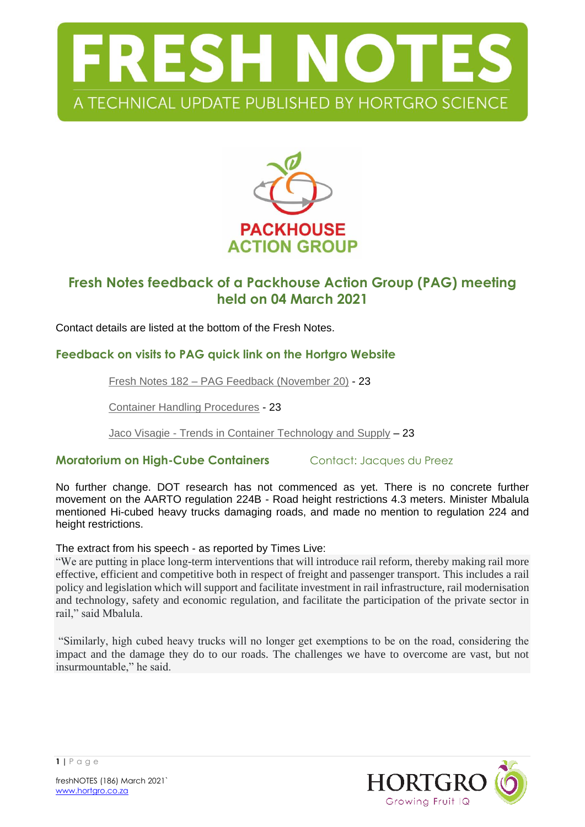



# **Fresh Notes feedback of a Packhouse Action Group (PAG) meeting held on 04 March 2021**

Contact details are listed at the bottom of the Fresh Notes.

# **Feedback on visits to PAG quick link on the Hortgro Website**

Fresh Notes 182 – [PAG Feedback \(November 20\)](https://www.hortgro.co.za/download/fresh-notes-182-pag-feedback-november-20/) - 23

[Container Handling Procedures](https://www.hortgro.co.za/download/container-handling-procedures/) - 23

Jaco Visagie - [Trends in Container Technology and Supply](https://www.hortgro.co.za/download/jaco-visagie-trends-in-container-technology-and-supply/) – 23

**Moratorium on High-Cube Containers** Contact: Jacques du Preez

No further change. DOT research has not commenced as yet. There is no concrete further movement on the AARTO regulation 224B - Road height restrictions 4.3 meters. Minister Mbalula mentioned Hi-cubed heavy trucks damaging roads, and made no mention to regulation 224 and height restrictions.

The extract from his speech - as reported by Times Live:

"We are putting in place long-term interventions that will introduce rail reform, thereby making rail more effective, efficient and competitive both in respect of freight and passenger transport. This includes a rail policy and legislation which will support and facilitate investment in rail infrastructure, rail modernisation and technology, safety and economic regulation, and facilitate the participation of the private sector in rail," said Mbalula.

"Similarly, high cubed heavy trucks will no longer get exemptions to be on the road, considering the impact and the damage they do to our roads. The challenges we have to overcome are vast, but not insurmountable," he said.

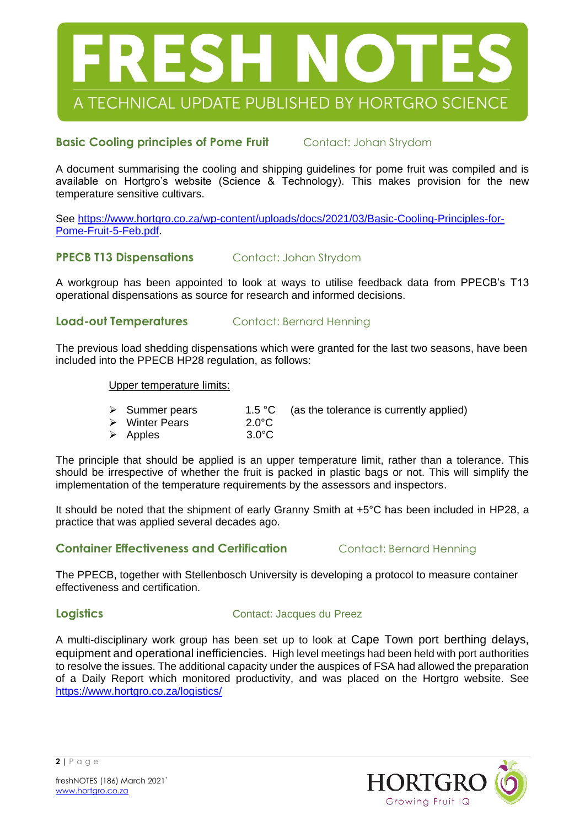

# **Basic Cooling principles of Pome Fruit** Contact: Johan Strydom

A document summarising the cooling and shipping guidelines for pome fruit was compiled and is available on Hortgro's website (Science & Technology). This makes provision for the new temperature sensitive cultivars.

See [https://www.hortgro.co.za/wp-content/uploads/docs/2021/03/Basic-Cooling-Principles-for-](https://www.hortgro.co.za/wp-content/uploads/docs/2021/03/Basic-Cooling-Principles-for-Pome-Fruit-5-Feb.pdf)[Pome-Fruit-5-Feb.pdf.](https://www.hortgro.co.za/wp-content/uploads/docs/2021/03/Basic-Cooling-Principles-for-Pome-Fruit-5-Feb.pdf)

# **PPECB T13 Dispensations** Contact: Johan Strydom

A workgroup has been appointed to look at ways to utilise feedback data from PPECB's T13 operational dispensations as source for research and informed decisions.

# **Load-out Temperatures Contact: Bernard Henning**

The previous load shedding dispensations which were granted for the last two seasons, have been included into the PPECB HP28 regulation, as follows:

Upper temperature limits:

- $\triangleright$  Summer pears 1.5 °C (as the tolerance is currently applied)
- Winter Pears 2.0°C  $\triangleright$  Apples 3.0°C

The principle that should be applied is an upper temperature limit, rather than a tolerance. This should be irrespective of whether the fruit is packed in plastic bags or not. This will simplify the implementation of the temperature requirements by the assessors and inspectors.

It should be noted that the shipment of early Granny Smith at +5°C has been included in HP28, a practice that was applied several decades ago.

# **Container Effectiveness and Certification** Contact: Bernard Henning

The PPECB, together with Stellenbosch University is developing a protocol to measure container effectiveness and certification.

**Logistics Contact: Jacques du Preez** 

A multi-disciplinary work group has been set up to look at Cape Town port berthing delays, equipment and operational inefficiencies. High level meetings had been held with port authorities to resolve the issues. The additional capacity under the auspices of FSA had allowed the preparation of a Daily Report which monitored productivity, and was placed on the Hortgro website. See <https://www.hortgro.co.za/logistics/>

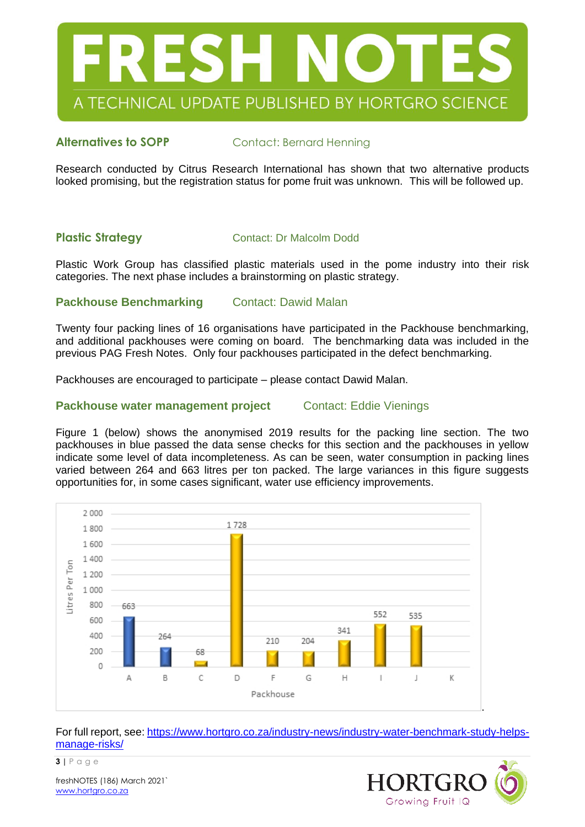

**Alternatives to SOPP** Contact: Bernard Henning

Research conducted by Citrus Research International has shown that two alternative products looked promising, but the registration status for pome fruit was unknown. This will be followed up.

## **Plastic Strategy** Contact: Dr Malcolm Dodd

Plastic Work Group has classified plastic materials used in the pome industry into their risk categories. The next phase includes a brainstorming on plastic strategy.

# **Packhouse Benchmarking Contact: Dawid Malan**

Twenty four packing lines of 16 organisations have participated in the Packhouse benchmarking, and additional packhouses were coming on board. The benchmarking data was included in the previous PAG Fresh Notes. Only four packhouses participated in the defect benchmarking.

Packhouses are encouraged to participate – please contact Dawid Malan.

## **Packhouse water management project** Contact: Eddie Vienings

Figure 1 (below) shows the anonymised 2019 results for the packing line section. The two packhouses in blue passed the data sense checks for this section and the packhouses in yellow indicate some level of data incompleteness. As can be seen, water consumption in packing lines varied between 264 and 663 litres per ton packed. The large variances in this figure suggests opportunities for, in some cases significant, water use efficiency improvements.



For full report, see: [https://www.hortgro.co.za/industry-news/industry-water-benchmark-study-helps](https://www.hortgro.co.za/industry-news/industry-water-benchmark-study-helps-manage-risks/)[manage-risks/](https://www.hortgro.co.za/industry-news/industry-water-benchmark-study-helps-manage-risks/)

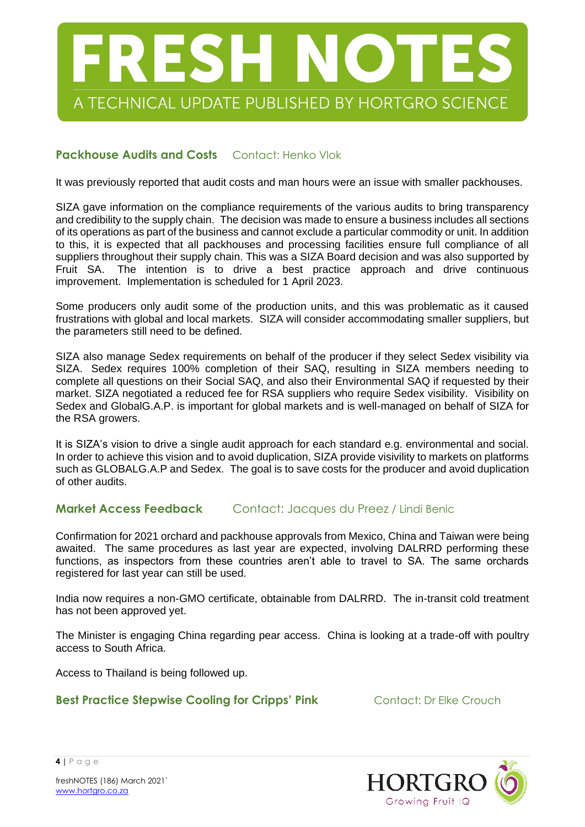

# **Packhouse Audits and Costs** Contact: Henko Vlok

It was previously reported that audit costs and man hours were an issue with smaller packhouses.

SIZA gave information on the compliance requirements of the various audits to bring transparency and credibility to the supply chain. The decision was made to ensure a business includes all sections of its operations as part of the business and cannot exclude a particular commodity or unit. In addition to this, it is expected that all packhouses and processing facilities ensure full compliance of all suppliers throughout their supply chain. This was a SIZA Board decision and was also supported by Fruit SA. The intention is to drive a best practice approach and drive continuous improvement. Implementation is scheduled for 1 April 2023.

Some producers only audit some of the production units, and this was problematic as it caused frustrations with global and local markets. SIZA will consider accommodating smaller suppliers, but the parameters still need to be defined.

SIZA also manage Sedex requirements on behalf of the producer if they select Sedex visibility via SIZA. Sedex requires 100% completion of their SAQ, resulting in SIZA members needing to complete all questions on their Social SAQ, and also their Environmental SAQ if requested by their market. SIZA negotiated a reduced fee for RSA suppliers who require Sedex visibility. Visibility on Sedex and GlobalG.A.P. is important for global markets and is well-managed on behalf of SIZA for the RSA growers.

It is SIZA's vision to drive a single audit approach for each standard e.g. environmental and social. In order to achieve this vision and to avoid duplication, SIZA provide visivility to markets on platforms such as GLOBALG.A.P and Sedex. The goal is to save costs for the producer and avoid duplication of other audits.

# **Market Access Feedback** Contact: Jacques du Preez / Lindi Benic

Confirmation for 2021 orchard and packhouse approvals from Mexico, China and Taiwan were being awaited. The same procedures as last year are expected, involving DALRRD performing these functions, as inspectors from these countries aren't able to travel to SA. The same orchards registered for last year can still be used.

India now requires a non-GMO certificate, obtainable from DALRRD. The in-transit cold treatment has not been approved yet.

The Minister is engaging China regarding pear access. China is looking at a trade-off with poultry access to South Africa.

Access to Thailand is being followed up.

# **Best Practice Stepwise Cooling for Cripps' Pink Contact: Dr Elke Crouch**

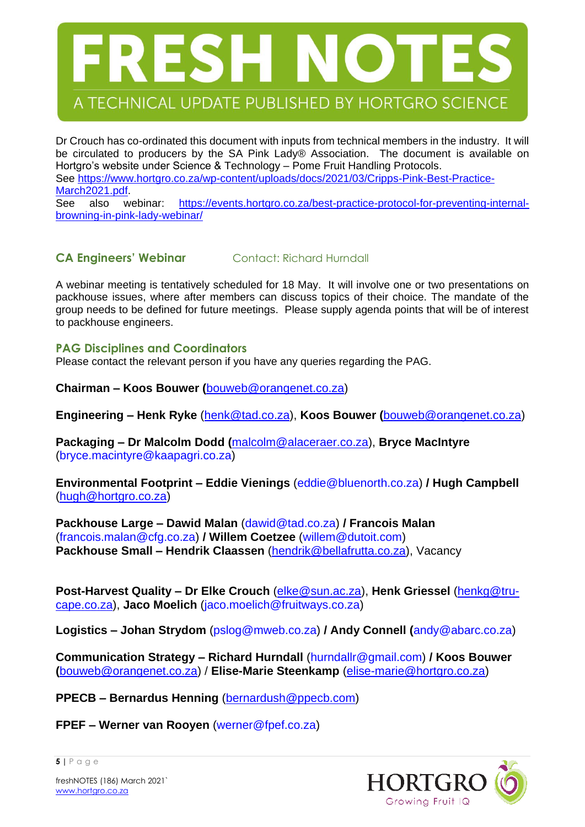# RESH NOT A TECHNICAL UPDATE PUBLISHED BY HORTGRO SCIENCE

Dr Crouch has co-ordinated this document with inputs from technical members in the industry. It will be circulated to producers by the SA Pink Lady® Association. The document is available on Hortgro's website under Science & Technology – Pome Fruit Handling Protocols. See [https://www.hortgro.co.za/wp-content/uploads/docs/2021/03/Cripps-Pink-Best-Practice-](https://www.hortgro.co.za/wp-content/uploads/docs/2021/03/Cripps-Pink-Best-Practice-March2021.pdf)March<sub>2021</sub>.pdf

See also webinar: [https://events.hortgro.co.za/best-practice-protocol-for-preventing-internal](https://events.hortgro.co.za/best-practice-protocol-for-preventing-internal-browning-in-pink-lady-webinar/)[browning-in-pink-lady-webinar/](https://events.hortgro.co.za/best-practice-protocol-for-preventing-internal-browning-in-pink-lady-webinar/)

# **CA Engineers' Webinar** Contact: Richard Hurndall

A webinar meeting is tentatively scheduled for 18 May. It will involve one or two presentations on packhouse issues, where after members can discuss topics of their choice. The mandate of the group needs to be defined for future meetings. Please supply agenda points that will be of interest to packhouse engineers.

# **PAG Disciplines and Coordinators**

Please contact the relevant person if you have any queries regarding the PAG.

**Chairman – Koos Bouwer (**[bouweb@orangenet.co.za\)](mailto:bouweb@orangenet.co.za)

**Engineering – Henk Ryke** [\(henk@tad.co.za\)](mailto:henk@tad.co.za), **Koos Bouwer (**[bouweb@orangenet.co.za\)](mailto:bouweb@orangenet.co.za)

**Packaging – Dr Malcolm Dodd (**[malcolm@alaceraer.co.za\)](mailto:malcolm@alaceraer.co.za), **Bryce MacIntyre** (bryce.macintyre@kaapagri.co.za)

**Environmental Footprint – Eddie Vienings** (eddie@bluenorth.co.za) **/ Hugh Campbell** [\(hugh@hortgro.co.za\)](mailto:hugh@hortgro.co.za)

**Packhouse Large – Dawid Malan** (dawid@tad.co.za) **/ Francois Malan** (francois.malan@cfg.co.za) **/ Willem Coetzee** [\(willem@dutoit.com\)](mailto:willem@dutoit.com) **Packhouse Small – Hendrik Claassen** [\(hendrik@bellafrutta.co.za\)](mailto:hendrik@bellafrutta.co.za), Vacancy

**Post-Harvest Quality – Dr Elke Crouch** [\(elke@sun.ac.za\)](mailto:elke@sun.ac.za), **Henk Griessel** [\(henkg@tru](mailto:henkg@tru-cape.co.za)[cape.co.za\)](mailto:henkg@tru-cape.co.za), **Jaco Moelich** (jaco.moelich@fruitways.co.za)

**Logistics – Johan Strydom** (pslog@mweb.co.za) **/ Andy Connell (**andy@abarc.co.za)

**Communication Strategy – Richard Hurndall** (hurndallr@gmail.com) **/ Koos Bouwer (**[bouweb@orangenet.co.za\)](mailto:bouweb@orangenet.co.za) / **Elise-Marie Steenkamp** [\(elise-marie@hortgro.co.za\)](mailto:elise-marie@hortgro.co.za)

**PPECB – Bernardus Henning** [\(bernardush@ppecb.com\)](mailto:bernardush@ppecb.com)

**FPEF – Werner van Rooyen** (werner@fpef.co.za)